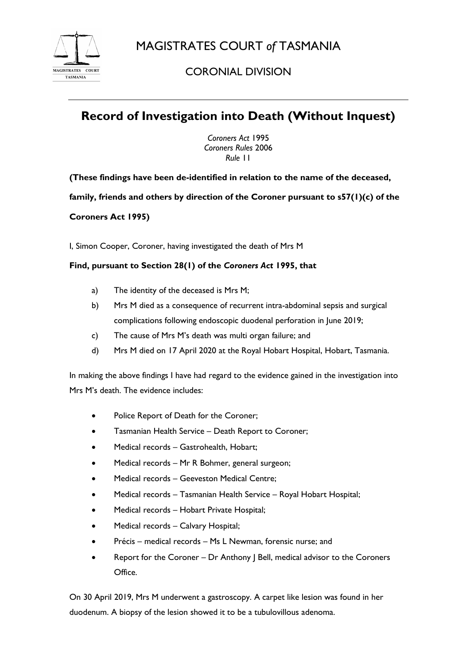

## CORONIAL DIVISION

# **Record of Investigation into Death (Without Inquest)**

*Coroners Act* 1995 *Coroners Rules* 2006 *Rule* 11

**(These findings have been de-identified in relation to the name of the deceased,** 

**family, friends and others by direction of the Coroner pursuant to s57(1)(c) of the** 

### **Coroners Act 1995)**

I, Simon Cooper, Coroner, having investigated the death of Mrs M

### **Find, pursuant to Section 28(1) of the** *Coroners Act* **1995, that**

- a) The identity of the deceased is Mrs M;
- b) Mrs M died as a consequence of recurrent intra-abdominal sepsis and surgical complications following endoscopic duodenal perforation in June 2019;
- c) The cause of Mrs M's death was multi organ failure; and
- d) Mrs M died on 17 April 2020 at the Royal Hobart Hospital, Hobart, Tasmania.

In making the above findings I have had regard to the evidence gained in the investigation into Mrs M's death. The evidence includes:

- Police Report of Death for the Coroner;
- Tasmanian Health Service Death Report to Coroner;
- Medical records Gastrohealth, Hobart;
- Medical records Mr R Bohmer, general surgeon;
- Medical records Geeveston Medical Centre;
- Medical records Tasmanian Health Service Royal Hobart Hospital;
- Medical records Hobart Private Hospital;
- Medical records Calvary Hospital;
- Précis medical records Ms L Newman, forensic nurse; and
- Report for the Coroner Dr Anthony J Bell, medical advisor to the Coroners Office.

On 30 April 2019, Mrs M underwent a gastroscopy. A carpet like lesion was found in her duodenum. A biopsy of the lesion showed it to be a tubulovillous adenoma.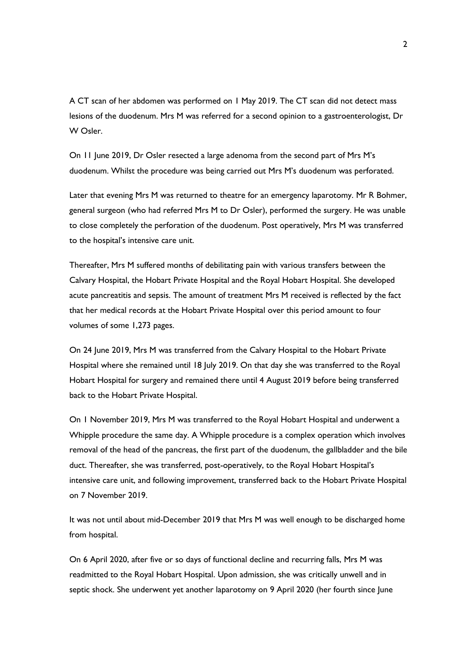A CT scan of her abdomen was performed on 1 May 2019. The CT scan did not detect mass lesions of the duodenum. Mrs M was referred for a second opinion to a gastroenterologist, Dr W Osler.

On 11 June 2019, Dr Osler resected a large adenoma from the second part of Mrs M's duodenum. Whilst the procedure was being carried out Mrs M's duodenum was perforated.

Later that evening Mrs M was returned to theatre for an emergency laparotomy. Mr R Bohmer, general surgeon (who had referred Mrs M to Dr Osler), performed the surgery. He was unable to close completely the perforation of the duodenum. Post operatively, Mrs M was transferred to the hospital's intensive care unit.

Thereafter, Mrs M suffered months of debilitating pain with various transfers between the Calvary Hospital, the Hobart Private Hospital and the Royal Hobart Hospital. She developed acute pancreatitis and sepsis. The amount of treatment Mrs M received is reflected by the fact that her medical records at the Hobart Private Hospital over this period amount to four volumes of some 1,273 pages.

On 24 June 2019, Mrs M was transferred from the Calvary Hospital to the Hobart Private Hospital where she remained until 18 July 2019. On that day she was transferred to the Royal Hobart Hospital for surgery and remained there until 4 August 2019 before being transferred back to the Hobart Private Hospital.

On 1 November 2019, Mrs M was transferred to the Royal Hobart Hospital and underwent a Whipple procedure the same day. A Whipple procedure is a complex operation which involves removal of the head of the pancreas, the first part of the duodenum, the gallbladder and the bile duct. Thereafter, she was transferred, post-operatively, to the Royal Hobart Hospital's intensive care unit, and following improvement, transferred back to the Hobart Private Hospital on 7 November 2019.

It was not until about mid-December 2019 that Mrs M was well enough to be discharged home from hospital.

On 6 April 2020, after five or so days of functional decline and recurring falls, Mrs M was readmitted to the Royal Hobart Hospital. Upon admission, she was critically unwell and in septic shock. She underwent yet another laparotomy on 9 April 2020 (her fourth since June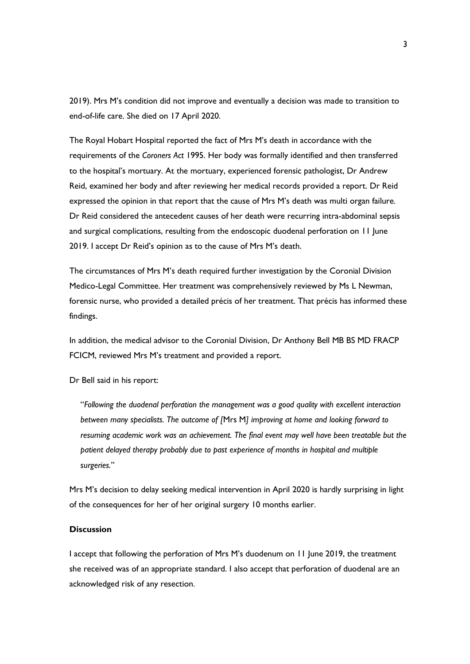2019). Mrs M's condition did not improve and eventually a decision was made to transition to end-of-life care. She died on 17 April 2020.

The Royal Hobart Hospital reported the fact of Mrs M's death in accordance with the requirements of the *Coroners Act* 1995. Her body was formally identified and then transferred to the hospital's mortuary. At the mortuary, experienced forensic pathologist, Dr Andrew Reid, examined her body and after reviewing her medical records provided a report. Dr Reid expressed the opinion in that report that the cause of Mrs M's death was multi organ failure. Dr Reid considered the antecedent causes of her death were recurring intra-abdominal sepsis and surgical complications, resulting from the endoscopic duodenal perforation on 11 June 2019. I accept Dr Reid's opinion as to the cause of Mrs M's death.

The circumstances of Mrs M's death required further investigation by the Coronial Division Medico-Legal Committee. Her treatment was comprehensively reviewed by Ms L Newman, forensic nurse, who provided a detailed précis of her treatment. That précis has informed these findings.

In addition, the medical advisor to the Coronial Division, Dr Anthony Bell MB BS MD FRACP FCICM, reviewed Mrs M's treatment and provided a report.

Dr Bell said in his report:

"*Following the duodenal perforation the management was a good quality with excellent interaction between many specialists. The outcome of [*Mrs M*] improving at home and looking forward to resuming academic work was an achievement. The final event may well have been treatable but the patient delayed therapy probably due to past experience of months in hospital and multiple surgeries.*"

Mrs M's decision to delay seeking medical intervention in April 2020 is hardly surprising in light of the consequences for her of her original surgery 10 months earlier.

#### **Discussion**

I accept that following the perforation of Mrs M's duodenum on 11 June 2019, the treatment she received was of an appropriate standard. I also accept that perforation of duodenal are an acknowledged risk of any resection.